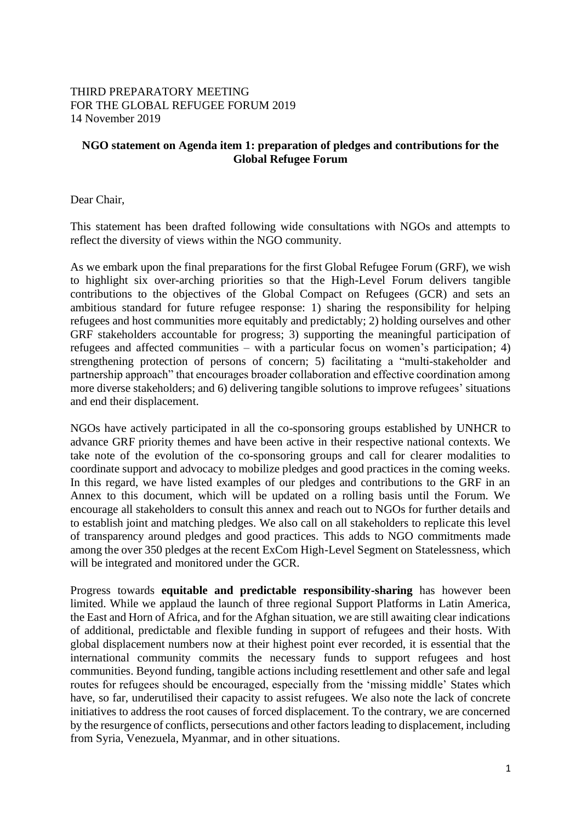## THIRD PREPARATORY MEETING FOR THE GLOBAL REFUGEE FORUM 2019 14 November 2019

## **NGO statement on Agenda item 1: preparation of pledges and contributions for the Global Refugee Forum**

Dear Chair,

This statement has been drafted following wide consultations with NGOs and attempts to reflect the diversity of views within the NGO community.

As we embark upon the final preparations for the first Global Refugee Forum (GRF), we wish to highlight six over-arching priorities so that the High-Level Forum delivers tangible contributions to the objectives of the Global Compact on Refugees (GCR) and sets an ambitious standard for future refugee response: 1) sharing the responsibility for helping refugees and host communities more equitably and predictably; 2) holding ourselves and other GRF stakeholders accountable for progress; 3) supporting the meaningful participation of refugees and affected communities – with a particular focus on women's participation; 4) strengthening protection of persons of concern; 5) facilitating a "multi-stakeholder and partnership approach" that encourages broader collaboration and effective coordination among more diverse stakeholders; and 6) delivering tangible solutions to improve refugees' situations and end their displacement.

NGOs have actively participated in all the co-sponsoring groups established by UNHCR to advance GRF priority themes and have been active in their respective national contexts. We take note of the evolution of the co-sponsoring groups and call for clearer modalities to coordinate support and advocacy to mobilize pledges and good practices in the coming weeks. In this regard, we have listed examples of our pledges and contributions to the GRF in an Annex to this document, which will be updated on a rolling basis until the Forum. We encourage all stakeholders to consult this annex and reach out to NGOs for further details and to establish joint and matching pledges. We also call on all stakeholders to replicate this level of transparency around pledges and good practices. This adds to NGO commitments made among the over 350 pledges at the recent ExCom High-Level Segment on Statelessness, which will be integrated and monitored under the GCR.

Progress towards **equitable and predictable responsibility-sharing** has however been limited. While we applaud the launch of three regional Support Platforms in Latin America, the East and Horn of Africa, and for the Afghan situation, we are still awaiting clear indications of additional, predictable and flexible funding in support of refugees and their hosts. With global displacement numbers now at their highest point ever recorded, it is essential that the international community commits the necessary funds to support refugees and host communities. Beyond funding, tangible actions including resettlement and other safe and legal routes for refugees should be encouraged, especially from the 'missing middle' States which have, so far, underutilised their capacity to assist refugees. We also note the lack of concrete initiatives to address the root causes of forced displacement. To the contrary, we are concerned by the resurgence of conflicts, persecutions and other factors leading to displacement, including from Syria, Venezuela, Myanmar, and in other situations.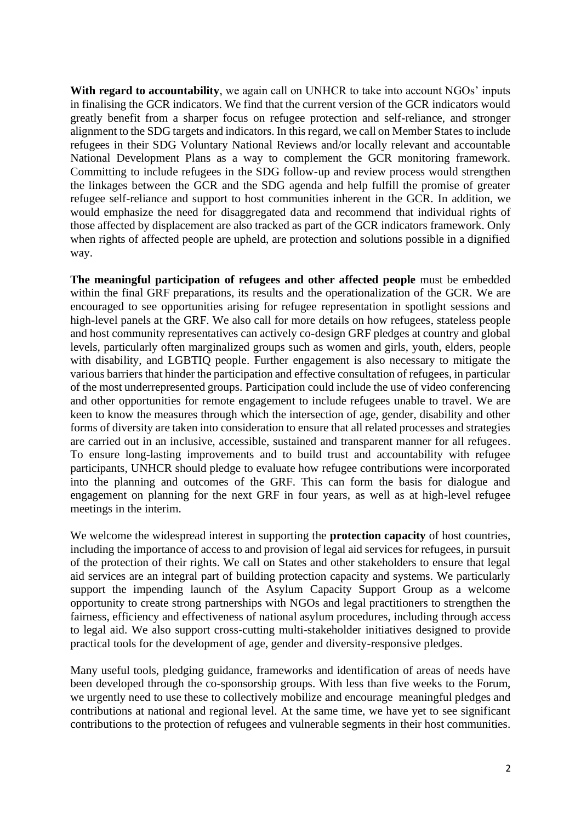With regard to accountability, we again call on UNHCR to take into account NGOs' inputs in finalising the GCR indicators. We find that the current version of the GCR indicators would greatly benefit from a sharper focus on refugee protection and self-reliance, and stronger alignment to the SDG targets and indicators. In this regard, we call on Member States to include refugees in their SDG Voluntary National Reviews and/or locally relevant and accountable National Development Plans as a way to complement the GCR monitoring framework. Committing to include refugees in the SDG follow-up and review process would strengthen the linkages between the GCR and the SDG agenda and help fulfill the promise of greater refugee self-reliance and support to host communities inherent in the GCR. In addition, we would emphasize the need for disaggregated data and recommend that individual rights of those affected by displacement are also tracked as part of the GCR indicators framework. Only when rights of affected people are upheld, are protection and solutions possible in a dignified way.

**The meaningful participation of refugees and other affected people** must be embedded within the final GRF preparations, its results and the operationalization of the GCR. We are encouraged to see opportunities arising for refugee representation in spotlight sessions and high-level panels at the GRF. We also call for more details on how refugees, stateless people and host community representatives can actively co-design GRF pledges at country and global levels, particularly often marginalized groups such as women and girls, youth, elders, people with disability, and LGBTIQ people. Further engagement is also necessary to mitigate the various barriers that hinder the participation and effective consultation of refugees, in particular of the most underrepresented groups. Participation could include the use of video conferencing and other opportunities for remote engagement to include refugees unable to travel. We are keen to know the measures through which the intersection of age, gender, disability and other forms of diversity are taken into consideration to ensure that all related processes and strategies are carried out in an inclusive, accessible, sustained and transparent manner for all refugees. To ensure long-lasting improvements and to build trust and accountability with refugee participants, UNHCR should pledge to evaluate how refugee contributions were incorporated into the planning and outcomes of the GRF. This can form the basis for dialogue and engagement on planning for the next GRF in four years, as well as at high-level refugee meetings in the interim.

We welcome the widespread interest in supporting the **protection capacity** of host countries, including the importance of access to and provision of legal aid services for refugees, in pursuit of the protection of their rights. We call on States and other stakeholders to ensure that legal aid services are an integral part of building protection capacity and systems. We particularly support the impending launch of the Asylum Capacity Support Group as a welcome opportunity to create strong partnerships with NGOs and legal practitioners to strengthen the fairness, efficiency and effectiveness of national asylum procedures, including through access to legal aid. We also support cross-cutting multi-stakeholder initiatives designed to provide practical tools for the development of age, gender and diversity-responsive pledges.

Many useful tools, pledging guidance, frameworks and identification of areas of needs have been developed through the co-sponsorship groups. With less than five weeks to the Forum, we urgently need to use these to collectively mobilize and encourage meaningful pledges and contributions at national and regional level. At the same time, we have yet to see significant contributions to the protection of refugees and vulnerable segments in their host communities.